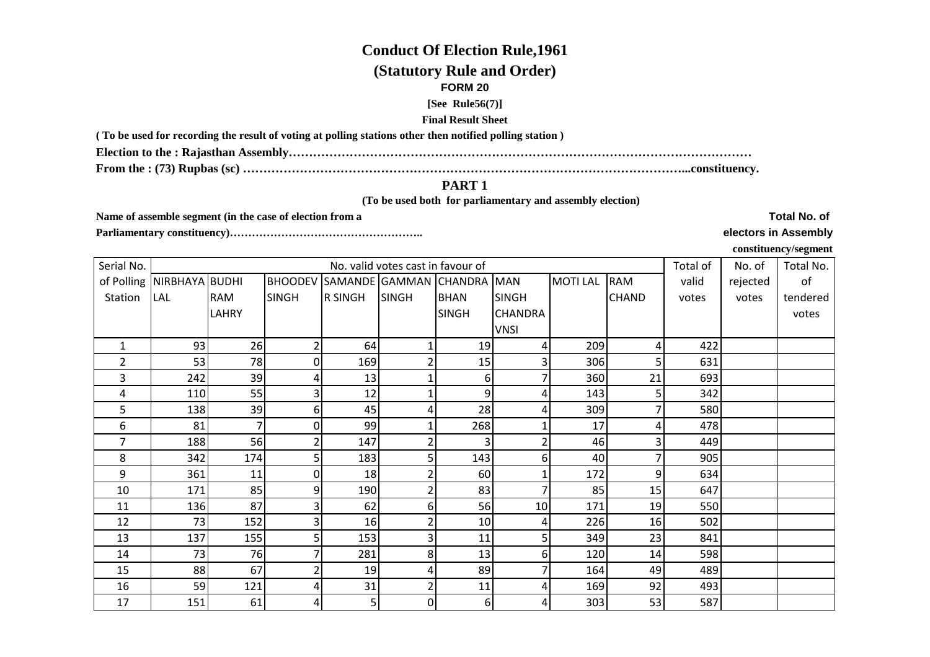# **Conduct Of Election Rule,1961**

## **(Statutory Rule and Order)**

#### **FORM 20**

**[See Rule56(7)]**

#### **Final Result Sheet**

**( To be used for recording the result of voting at polling stations other then notified polling station )**

**Election to the : Rajasthan Assembly……………………………………………………………………………………………………**

**From the : (73) Rupbas (sc) ………………………………………………………………………………………………...constituency.**

### **PART 1**

 **(To be used both for parliamentary and assembly election)** 

**Name of assemble segment (in the case of election from a** 

**Parliamentary constituency)……………………………………………..** 

**Total No. of** 

## **electors in Assembly**

**constituency/segment**

| Serial No.     |                           |              |              |                | No. valid votes cast in favour of |                                    |                |                |              | Total of | No. of   | Total No. |
|----------------|---------------------------|--------------|--------------|----------------|-----------------------------------|------------------------------------|----------------|----------------|--------------|----------|----------|-----------|
|                | of Polling NIRBHAYA BUDHI |              |              |                |                                   | BHOODEV SAMANDE GAMMAN CHANDRA MAN |                | <b>MOTILAL</b> | <b>RAM</b>   | valid    | rejected | of        |
| Station        | <b>LAL</b>                | <b>RAM</b>   | <b>SINGH</b> | <b>R SINGH</b> | <b>SINGH</b>                      | <b>BHAN</b>                        | <b>SINGH</b>   |                | <b>CHAND</b> | votes    | votes    | tendered  |
|                |                           | <b>LAHRY</b> |              |                |                                   | <b>SINGH</b>                       | <b>CHANDRA</b> |                |              |          |          | votes     |
|                |                           |              |              |                |                                   |                                    | <b>VNSI</b>    |                |              |          |          |           |
| $\mathbf{1}$   | 93                        | 26           | 2            | 64             |                                   | 19                                 | 4              | 209            |              | 422      |          |           |
| $\overline{2}$ | 53                        | 78           | 0            | 169            |                                   | 15                                 |                | 306            |              | 631      |          |           |
| 3              | 242                       | 39           | 4            | 13             |                                   | 6                                  |                | 360            | 21           | 693      |          |           |
| 4              | 110                       | 55           | 3            | 12             |                                   | 9                                  | 4              | 143            |              | 342      |          |           |
| 5              | 138                       | 39           | 6            | 45             | 4                                 | 28                                 | 4              | 309            |              | 580      |          |           |
| 6              | 81                        |              | $\Omega$     | 99             |                                   | 268                                |                | 17             |              | 478      |          |           |
| 7              | 188                       | 56           | 2            | 147            |                                   |                                    |                | 46             |              | 449      |          |           |
| 8              | 342                       | 174          | 5            | 183            |                                   | 143                                | 6              | 40             |              | 905      |          |           |
| 9              | 361                       | 11           | 0            | 18             | 2                                 | 60                                 |                | 172            | 9            | 634      |          |           |
| 10             | 171                       | 85           | 9            | 190            | 2                                 | 83                                 |                | 85             | 15           | 647      |          |           |
| 11             | 136                       | 87           | 3            | 62             | 61                                | 56                                 | 10             | 171            | 19           | 550      |          |           |
| 12             | 73                        | 152          | 3            | 16             | 2                                 | 10                                 | 4              | 226            | 16           | 502      |          |           |
| 13             | 137                       | 155          | 5            | 153            | 31                                | 11                                 | 5              | 349            | 23           | 841      |          |           |
| 14             | 73                        | 76           | 7            | 281            | 8                                 | 13                                 | 6              | 120            | 14           | 598      |          |           |
| 15             | 88                        | 67           | 2            | 19             | 4                                 | 89                                 |                | 164            | 49           | 489      |          |           |
| 16             | 59                        | 121          | 4            | 31             | 2                                 | 11                                 | 4              | 169            | 92           | 493      |          |           |
| 17             | 151                       | 61           | 4            | 5 <sub>l</sub> | $\overline{0}$                    | $6 \mid$                           | 4              | 303            | 53           | 587      |          |           |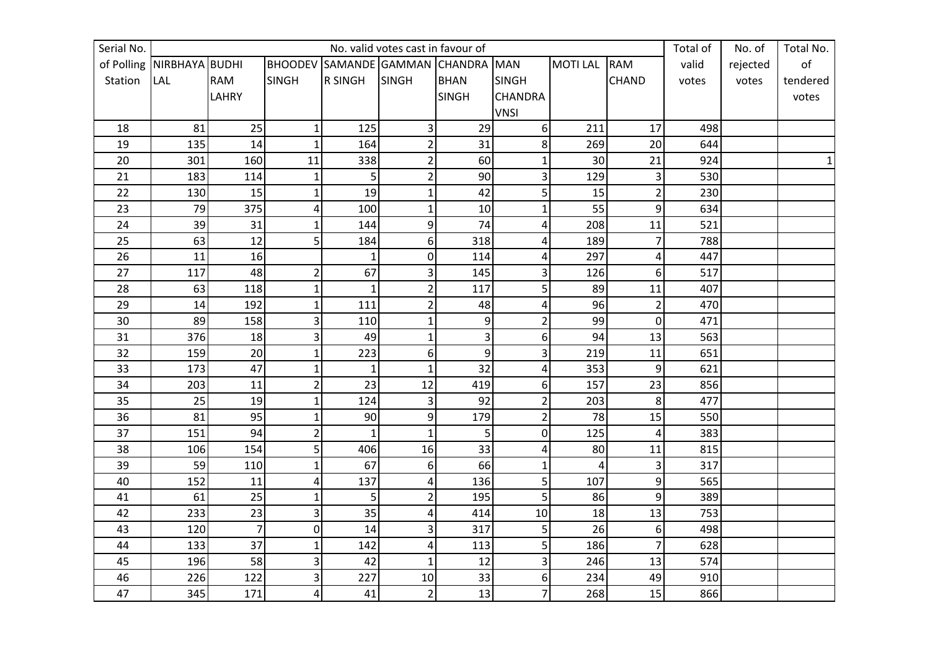| Serial No. |                               |                |                         |                               | No. valid votes cast in favour of |                |                         |                |                | Total of | No. of   | Total No.      |
|------------|-------------------------------|----------------|-------------------------|-------------------------------|-----------------------------------|----------------|-------------------------|----------------|----------------|----------|----------|----------------|
|            | of Polling   NIRBHAYA   BUDHI |                |                         | <b>BHOODEV SAMANDE GAMMAN</b> |                                   | <b>CHANDRA</b> | <b>MAN</b>              | <b>MOTILAL</b> | <b>RAM</b>     | valid    | rejected | o <sub>f</sub> |
| Station    | <b>LAL</b>                    | <b>RAM</b>     | <b>SINGH</b>            | <b>R SINGH</b>                | <b>SINGH</b>                      | <b>BHAN</b>    | <b>SINGH</b>            |                | <b>CHAND</b>   | votes    | votes    | tendered       |
|            |                               | <b>LAHRY</b>   |                         |                               |                                   | <b>SINGH</b>   | <b>CHANDRA</b>          |                |                |          |          | votes          |
|            |                               |                |                         |                               |                                   |                | <b>VNSI</b>             |                |                |          |          |                |
| 18         | 81                            | 25             | $\mathbf{1}$            | 125                           | 3                                 | 29             | 6                       | 211            | 17             | 498      |          |                |
| 19         | 135                           | 14             | $\mathbf{1}$            | 164                           | $\overline{c}$                    | 31             | 8                       | 269            | 20             | 644      |          |                |
| 20         | 301                           | 160            | 11                      | 338                           | $\overline{2}$                    | 60             | $\mathbf{1}$            | 30             | 21             | 924      |          | 1              |
| 21         | 183                           | 114            | $\mathbf{1}$            | 5                             | $\overline{2}$                    | 90             | 3                       | 129            | 3              | 530      |          |                |
| 22         | 130                           | 15             | $\mathbf{1}$            | 19                            | $\mathbf{1}$                      | 42             | 5                       | 15             | $\overline{2}$ | 230      |          |                |
| 23         | 79                            | 375            | $\pmb{4}$               | 100                           | $\mathbf{1}$                      | 10             | $\mathbf{1}$            | 55             | 9              | 634      |          |                |
| 24         | 39                            | 31             | $\mathbf 1$             | 144                           | 9                                 | 74             | $\pmb{4}$               | 208            | $11\,$         | 521      |          |                |
| 25         | 63                            | 12             | 5                       | 184                           | 6                                 | 318            | 4                       | 189            | $\overline{7}$ | 788      |          |                |
| 26         | 11                            | 16             |                         | $\mathbf{1}$                  | $\mathbf 0$                       | 114            | 4                       | 297            | 4              | 447      |          |                |
| 27         | 117                           | 48             | $\overline{c}$          | 67                            | 3                                 | 145            | 3                       | 126            | 6              | 517      |          |                |
| 28         | 63                            | 118            | $\mathbf{1}$            | $\mathbf{1}$                  | $\overline{2}$                    | 117            | 5                       | 89             | $11\,$         | 407      |          |                |
| 29         | 14                            | 192            | $\mathbf{1}$            | 111                           | $\overline{2}$                    | 48             | $\overline{\mathbf{4}}$ | 96             | $\overline{2}$ | 470      |          |                |
| 30         | 89                            | 158            | 3                       | 110                           | $\mathbf{1}$                      | 9              | $\overline{2}$          | 99             | $\mathbf 0$    | 471      |          |                |
| 31         | 376                           | 18             | 3                       | 49                            | $\mathbf{1}$                      | 3              | 6                       | 94             | 13             | 563      |          |                |
| 32         | 159                           | 20             | $\mathbf{1}$            | 223                           | 6                                 | 9              | 3                       | 219            | 11             | 651      |          |                |
| 33         | 173                           | 47             | $\mathbf{1}$            | $\mathbf{1}$                  | $\mathbf{1}$                      | 32             | $\overline{\mathbf{4}}$ | 353            | 9              | 621      |          |                |
| 34         | 203                           | 11             | $\overline{c}$          | 23                            | 12                                | 419            | 6                       | 157            | 23             | 856      |          |                |
| 35         | 25                            | 19             | $\mathbf 1$             | 124                           | 3                                 | 92             | $\overline{2}$          | 203            | 8              | 477      |          |                |
| 36         | 81                            | 95             | $\mathbf{1}$            | 90                            | 9                                 | 179            | $\overline{2}$          | 78             | 15             | 550      |          |                |
| 37         | 151                           | 94             | $\overline{2}$          | $\mathbf{1}$                  | $\mathbf{1}$                      | 5              | $\boldsymbol{0}$        | 125            | 4              | 383      |          |                |
| 38         | 106                           | 154            | 5                       | 406                           | 16                                | 33             | 4                       | 80             | $11\,$         | 815      |          |                |
| 39         | 59                            | 110            | $\mathbf{1}$            | 67                            | 6                                 | 66             | $\mathbf{1}$            | $\overline{4}$ | 3              | 317      |          |                |
| 40         | 152                           | 11             | $\overline{\mathbf{r}}$ | 137                           | 4                                 | 136            | 5                       | 107            | 9              | 565      |          |                |
| 41         | 61                            | 25             | $\mathbf{1}$            | 5 <sub>l</sub>                | $\overline{2}$                    | 195            | 5                       | 86             | 9              | 389      |          |                |
| 42         | 233                           | 23             | $\overline{\mathbf{3}}$ | 35                            | 4                                 | 414            | 10                      | 18             | 13             | 753      |          |                |
| 43         | 120                           | $\overline{7}$ | $\pmb{0}$               | 14                            | 3                                 | 317            | 5                       | 26             | 6              | 498      |          |                |
| 44         | 133                           | 37             | $\mathbf{1}$            | 142                           | 4                                 | 113            | 5                       | 186            | $\overline{7}$ | 628      |          |                |
| 45         | 196                           | 58             | $\vert$ 3               | 42                            | $\mathbf{1}$                      | 12             | 3                       | 246            | 13             | 574      |          |                |
| 46         | 226                           | 122            | 3                       | 227                           | $10\,$                            | 33             | 6                       | 234            | 49             | 910      |          |                |
| 47         | 345                           | 171            | 4                       | 41                            | $\overline{2}$                    | 13             | $\overline{7}$          | 268            | 15             | 866      |          |                |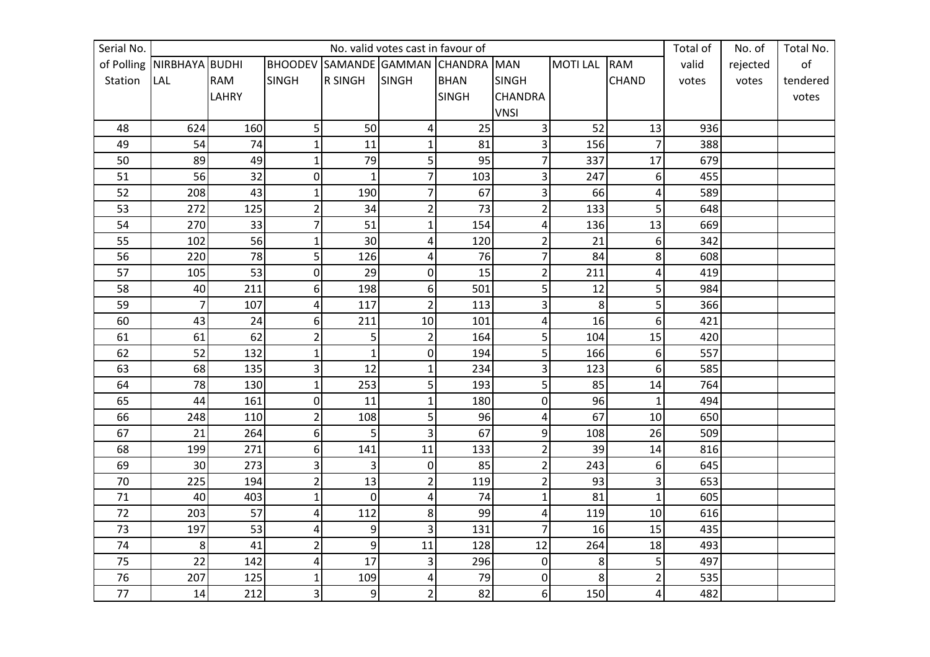| Serial No. |                               |              |                         |                               | No. valid votes cast in favour of |                |                         |                |                | Total of | No. of   | Total No.      |
|------------|-------------------------------|--------------|-------------------------|-------------------------------|-----------------------------------|----------------|-------------------------|----------------|----------------|----------|----------|----------------|
|            | of Polling   NIRBHAYA   BUDHI |              |                         | <b>BHOODEV SAMANDE GAMMAN</b> |                                   | <b>CHANDRA</b> | <b>MAN</b>              | <b>MOTILAL</b> | <b>RAM</b>     | valid    | rejected | o <sub>f</sub> |
| Station    | <b>LAL</b>                    | <b>RAM</b>   | <b>SINGH</b>            | <b>R SINGH</b>                | <b>SINGH</b>                      | <b>BHAN</b>    | <b>SINGH</b>            |                | <b>CHAND</b>   | votes    | votes    | tendered       |
|            |                               | <b>LAHRY</b> |                         |                               |                                   | <b>SINGH</b>   | <b>CHANDRA</b>          |                |                |          |          | votes          |
|            |                               |              |                         |                               |                                   |                | <b>VNSI</b>             |                |                |          |          |                |
| 48         | 624                           | 160          | 5                       | 50                            | 4                                 | 25             | 3                       | 52             | 13             | 936      |          |                |
| 49         | 54                            | 74           | $\mathbf{1}$            | 11                            | $\mathbf{1}$                      | 81             | 3                       | 156            | $\overline{7}$ | 388      |          |                |
| 50         | 89                            | 49           | $\mathbf 1$             | 79                            | 5                                 | 95             | $\overline{7}$          | 337            | 17             | 679      |          |                |
| 51         | 56                            | 32           | $\pmb{0}$               | $\mathbf{1}$                  | $\overline{7}$                    | 103            | 3                       | 247            | 6              | 455      |          |                |
| 52         | 208                           | 43           | $\mathbf{1}$            | 190                           | $\overline{7}$                    | 67             | 3                       | 66             | 4              | 589      |          |                |
| 53         | 272                           | 125          | $\overline{c}$          | 34                            | $\overline{2}$                    | 73             | $\overline{2}$          | 133            | 5              | 648      |          |                |
| 54         | 270                           | 33           | $\overline{7}$          | 51                            | $\mathbf 1$                       | 154            | $\pmb{4}$               | 136            | 13             | 669      |          |                |
| 55         | 102                           | 56           | $\mathbf{1}$            | 30 <sup>1</sup>               | 4                                 | 120            | $\overline{2}$          | 21             | 6              | 342      |          |                |
| 56         | 220                           | 78           | 5                       | 126                           | 4                                 | 76             | $\overline{7}$          | 84             | 8              | 608      |          |                |
| 57         | 105                           | 53           | $\pmb{0}$               | 29                            | $\mathbf 0$                       | 15             | $\overline{2}$          | 211            | 4              | 419      |          |                |
| 58         | 40                            | 211          | 6                       | 198                           | 6                                 | 501            | 5                       | 12             | 5              | 984      |          |                |
| 59         | $\overline{7}$                | 107          | $\overline{\mathbf{4}}$ | 117                           | $\overline{2}$                    | 113            | 3                       | 8              | 5              | 366      |          |                |
| 60         | 43                            | 24           | 6                       | 211                           | 10                                | 101            | $\overline{4}$          | 16             | 6              | 421      |          |                |
| 61         | 61                            | 62           | $\overline{2}$          | 5 <sub>l</sub>                | $\overline{c}$                    | 164            | 5                       | 104            | 15             | 420      |          |                |
| 62         | 52                            | 132          | $\mathbf{1}$            | $\mathbf{1}$                  | $\mathbf 0$                       | 194            | 5                       | 166            | 6              | 557      |          |                |
| 63         | 68                            | 135          | 3                       | 12                            | $\mathbf{1}$                      | 234            | 3                       | 123            | 6              | 585      |          |                |
| 64         | 78                            | 130          | $\mathbf 1$             | 253                           | 5                                 | 193            | 5                       | 85             | 14             | 764      |          |                |
| 65         | 44                            | 161          | $\overline{0}$          | 11                            | $\mathbf 1$                       | 180            | $\boldsymbol{0}$        | 96             | $\mathbf{1}$   | 494      |          |                |
| 66         | 248                           | 110          | $\overline{2}$          | 108                           | 5                                 | 96             | $\overline{\mathbf{4}}$ | 67             | 10             | 650      |          |                |
| 67         | 21                            | 264          | 6                       | 5                             | 3                                 | 67             | 9                       | 108            | 26             | 509      |          |                |
| 68         | 199                           | 271          | 6                       | 141                           | 11                                | 133            | $\overline{2}$          | 39             | 14             | 816      |          |                |
| 69         | 30                            | 273          | 3                       | $\overline{3}$                | $\mathbf 0$                       | 85             | $\overline{2}$          | 243            | 6              | 645      |          |                |
| 70         | 225                           | 194          | $\mathbf 2$             | 13                            | $\overline{2}$                    | 119            | $\overline{2}$          | 93             | 3              | 653      |          |                |
| 71         | 40                            | 403          | $\overline{1}$          | $\overline{0}$                | 4                                 | 74             | $\mathbf 1$             | 81             | $\mathbf{1}$   | 605      |          |                |
| 72         | 203                           | 57           | $\overline{\mathbf{r}}$ | 112                           | 8                                 | 99             | 4                       | 119            | 10             | 616      |          |                |
| 73         | 197                           | 53           | 4                       | $\overline{9}$                | 3                                 | 131            | $\overline{7}$          | 16             | 15             | 435      |          |                |
| 74         | 8                             | 41           | $\overline{2}$          | $\overline{9}$                | 11                                | 128            | 12                      | 264            | 18             | 493      |          |                |
| 75         | 22                            | 142          | $\pmb{4}$               | 17                            | 3                                 | 296            | $\pmb{0}$               | $\bf 8$        | 5              | 497      |          |                |
| 76         | 207                           | 125          | ${\bf 1}$               | 109                           | 4                                 | 79             | 0                       | 8 <sup>1</sup> | $\overline{2}$ | 535      |          |                |
| 77         | 14                            | 212          | 3                       | $\overline{9}$                | $\overline{c}$                    | 82             | 6                       | 150            | 4              | 482      |          |                |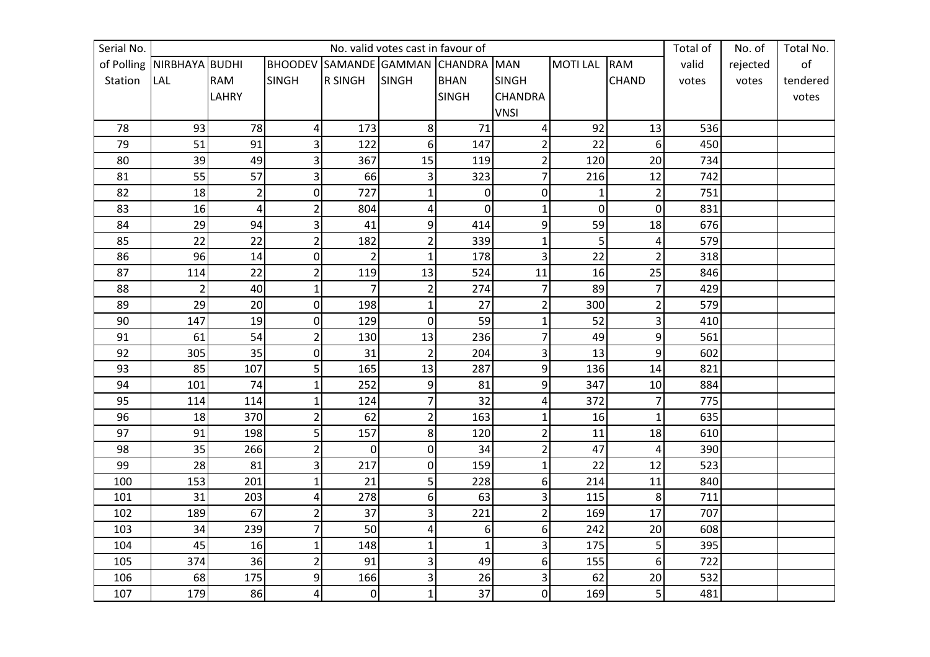| Serial No. |                               |                |                         |                               | No. valid votes cast in favour of |                |                |                |                | Total of | No. of   | Total No.      |
|------------|-------------------------------|----------------|-------------------------|-------------------------------|-----------------------------------|----------------|----------------|----------------|----------------|----------|----------|----------------|
|            | of Polling   NIRBHAYA   BUDHI |                |                         | <b>BHOODEV SAMANDE GAMMAN</b> |                                   | <b>CHANDRA</b> | <b>MAN</b>     | <b>MOTILAL</b> | <b>RAM</b>     | valid    | rejected | o <sub>f</sub> |
| Station    | <b>LAL</b>                    | <b>RAM</b>     | <b>SINGH</b>            | <b>R SINGH</b>                | <b>SINGH</b>                      | <b>BHAN</b>    | <b>SINGH</b>   |                | <b>CHAND</b>   | votes    | votes    | tendered       |
|            |                               | <b>LAHRY</b>   |                         |                               |                                   | <b>SINGH</b>   | <b>CHANDRA</b> |                |                |          |          | votes          |
|            |                               |                |                         |                               |                                   |                | <b>VNSI</b>    |                |                |          |          |                |
| 78         | 93                            | 78             | 4                       | 173                           | 8                                 | 71             | 4              | 92             | 13             | 536      |          |                |
| 79         | 51                            | 91             | 3                       | 122                           | 6                                 | 147            | $\overline{2}$ | 22             | 6              | 450      |          |                |
| 80         | 39                            | 49             | 3                       | 367                           | 15                                | 119            | $\overline{2}$ | 120            | 20             | 734      |          |                |
| 81         | 55                            | 57             | 3                       | 66                            | 3                                 | 323            | $\overline{7}$ | 216            | 12             | 742      |          |                |
| 82         | 18                            | $\overline{2}$ | $\boldsymbol{0}$        | 727                           | $\mathbf{1}$                      | $\mathbf 0$    | $\mathbf 0$    | $\mathbf{1}$   | $\overline{2}$ | 751      |          |                |
| 83         | 16                            | 4              | $\overline{c}$          | 804                           | 4                                 | $\overline{0}$ | $\mathbf{1}$   | $\mathbf 0$    | $\mathbf 0$    | 831      |          |                |
| 84         | 29                            | 94             | 3                       | 41                            | 9                                 | 414            | 9              | 59             | 18             | 676      |          |                |
| 85         | 22                            | 22             | $\overline{2}$          | 182                           | $\overline{2}$                    | 339            | $\mathbf{1}$   | $\overline{5}$ | 4              | 579      |          |                |
| 86         | 96                            | 14             | $\pmb{0}$               | $\overline{2}$                | $\overline{1}$                    | 178            | 3              | 22             | $\overline{2}$ | 318      |          |                |
| 87         | 114                           | 22             | $\overline{2}$          | 119                           | 13                                | 524            | 11             | 16             | 25             | 846      |          |                |
| 88         | $\overline{2}$                | 40             | $\mathbf{1}$            | $\overline{7}$                | $\overline{c}$                    | 274            | $\overline{7}$ | 89             | $\overline{7}$ | 429      |          |                |
| 89         | 29                            | 20             | $\pmb{0}$               | 198                           | $\mathbf{1}$                      | 27             | $\overline{2}$ | 300            | $\overline{2}$ | 579      |          |                |
| 90         | 147                           | 19             | 0                       | 129                           | $\mathbf 0$                       | 59             | $\mathbf{1}$   | 52             | 3              | 410      |          |                |
| 91         | 61                            | 54             | $\overline{c}$          | 130                           | 13                                | 236            | $\overline{7}$ | 49             | 9              | 561      |          |                |
| 92         | 305                           | 35             | $\mathbf 0$             | 31                            | $\overline{2}$                    | 204            | 3              | 13             | 9              | 602      |          |                |
| 93         | 85                            | 107            | 5                       | 165                           | 13                                | 287            | 9              | 136            | 14             | 821      |          |                |
| 94         | 101                           | 74             | $\mathbf{1}$            | 252                           | 9                                 | 81             | 9              | 347            | 10             | 884      |          |                |
| 95         | 114                           | 114            | $\mathbf 1$             | 124                           | $\overline{7}$                    | 32             | $\pmb{4}$      | 372            | $\overline{7}$ | 775      |          |                |
| 96         | 18                            | 370            | $\overline{2}$          | 62                            | $\mathbf 2$                       | 163            | $\mathbf{1}$   | 16             | 1              | 635      |          |                |
| 97         | 91                            | 198            | 5                       | 157                           | 8                                 | 120            | $\overline{2}$ | 11             | 18             | 610      |          |                |
| 98         | 35                            | 266            | $\overline{\mathbf{c}}$ | $\overline{0}$                | $\boldsymbol{0}$                  | 34             | $\overline{2}$ | 47             | $\overline{4}$ | 390      |          |                |
| 99         | 28                            | 81             | 3                       | 217                           | $\overline{0}$                    | 159            | $\mathbf{1}$   | 22             | 12             | 523      |          |                |
| 100        | 153                           | 201            | $\mathbf 1$             | 21                            | 5                                 | 228            | 6              | 214            | 11             | 840      |          |                |
| 101        | 31                            | 203            | $\pmb{4}$               | 278                           | 6                                 | 63             | 3              | 115            | 8              | 711      |          |                |
| 102        | 189                           | 67             | $\overline{\mathbf{c}}$ | 37                            | 3                                 | 221            | $\mathbf 2$    | 169            | 17             | 707      |          |                |
| 103        | 34                            | 239            | $\overline{7}$          | 50                            | 4                                 | 6              | 6              | 242            | 20             | 608      |          |                |
| 104        | 45                            | 16             | $\mathbf 1$             | 148                           | $\mathbf{1}$                      | $\mathbf{1}$   | 3              | 175            | 5              | 395      |          |                |
| 105        | 374                           | 36             | $\overline{2}$          | 91                            | 3                                 | 49             | 6              | 155            | 6              | 722      |          |                |
| 106        | 68                            | 175            | 9                       | 166                           | 3                                 | 26             | 3              | 62             | 20             | 532      |          |                |
| 107        | 179                           | 86             | 4                       | $\overline{0}$                | $1\vert$                          | 37             | $\mathbf 0$    | 169            | $\overline{5}$ | 481      |          |                |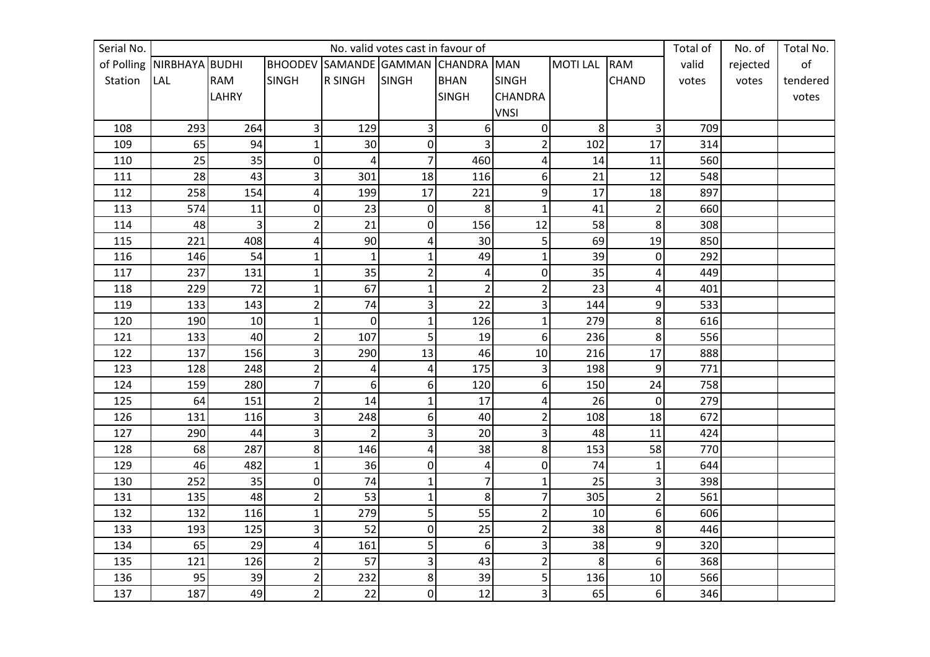| Serial No. |                           |            |                         |                | No. valid votes cast in favour of |                |                  |                |                | Total of | No. of   | Total No. |
|------------|---------------------------|------------|-------------------------|----------------|-----------------------------------|----------------|------------------|----------------|----------------|----------|----------|-----------|
|            | of Polling NIRBHAYA BUDHI |            | <b>BHOODEV</b>          | SAMANDE GAMMAN |                                   | <b>CHANDRA</b> | <b>MAN</b>       | <b>MOTILAL</b> | <b>RAM</b>     | valid    | rejected | of        |
| Station    | <b>LAL</b>                | <b>RAM</b> | <b>SINGH</b>            | <b>R SINGH</b> | SINGH                             | <b>BHAN</b>    | <b>SINGH</b>     |                | <b>CHAND</b>   | votes    | votes    | tendered  |
|            |                           | LAHRY      |                         |                |                                   | <b>SINGH</b>   | <b>CHANDRA</b>   |                |                |          |          | votes     |
|            |                           |            |                         |                |                                   |                | <b>VNSI</b>      |                |                |          |          |           |
| 108        | 293                       | 264        | 3                       | 129            | 3                                 | 6              | 0                | 8              | 3              | 709      |          |           |
| 109        | 65                        | 94         | $\mathbf{1}$            | 30             | $\mathbf 0$                       | 3              | $\overline{2}$   | 102            | 17             | 314      |          |           |
| 110        | 25                        | 35         | $\pmb{0}$               | 4              | 7                                 | 460            | 4                | 14             | 11             | 560      |          |           |
| 111        | 28                        | 43         | 3                       | 301            | 18                                | 116            | 6                | 21             | 12             | 548      |          |           |
| 112        | 258                       | 154        | $\pmb{4}$               | 199            | 17                                | 221            | 9                | 17             | 18             | 897      |          |           |
| 113        | 574                       | 11         | $\pmb{0}$               | 23             | $\mathbf 0$                       | 8              | $\mathbf{1}$     | 41             | $\overline{2}$ | 660      |          |           |
| 114        | 48                        | 3          | $\overline{c}$          | 21             | 0                                 | 156            | 12               | 58             | 8              | 308      |          |           |
| 115        | 221                       | 408        | $\overline{a}$          | 90             | 4                                 | 30             | 5                | 69             | 19             | 850      |          |           |
| 116        | 146                       | 54         | $\mathbf{1}$            | $\mathbf{1}$   | $\mathbf{1}$                      | 49             | $\mathbf{1}$     | 39             | $\pmb{0}$      | 292      |          |           |
| 117        | 237                       | 131        | $\mathbf{1}$            | 35             | $\overline{\mathbf{c}}$           | 4              | $\boldsymbol{0}$ | 35             | 4              | 449      |          |           |
| 118        | 229                       | 72         | $\mathbf{1}$            | 67             | $\mathbf 1$                       | $\overline{2}$ | $\overline{2}$   | 23             | 4              | 401      |          |           |
| 119        | 133                       | 143        | $\overline{2}$          | 74             | 3                                 | 22             | 3                | 144            | 9              | 533      |          |           |
| 120        | 190                       | 10         | $\mathbf{1}$            | $\overline{0}$ | $\mathbf{1}$                      | 126            | $\mathbf{1}$     | 279            | 8              | 616      |          |           |
| 121        | 133                       | 40         | $\overline{c}$          | 107            | 5                                 | 19             | 6                | 236            | 8              | 556      |          |           |
| 122        | 137                       | 156        | 3                       | 290            | 13                                | 46             | 10               | 216            | 17             | 888      |          |           |
| 123        | 128                       | 248        | $\overline{2}$          | 4              | 4                                 | 175            | 3                | 198            | 9              | 771      |          |           |
| 124        | 159                       | 280        | $\overline{7}$          | 6 <sup>1</sup> | 6                                 | 120            | 6                | 150            | 24             | 758      |          |           |
| 125        | 64                        | 151        | $\overline{c}$          | 14             | $\mathbf 1$                       | 17             | 4                | 26             | $\mathbf 0$    | 279      |          |           |
| 126        | 131                       | 116        | 3                       | 248            | 6                                 | 40             | $\overline{2}$   | 108            | 18             | 672      |          |           |
| 127        | 290                       | 44         | 3                       | $\overline{2}$ | 3                                 | 20             | 3                | 48             | 11             | 424      |          |           |
| 128        | 68                        | 287        | 8                       | 146            | 4                                 | 38             | 8                | 153            | 58             | 770      |          |           |
| 129        | 46                        | 482        | $\overline{1}$          | 36             | $\overline{0}$                    | $\overline{4}$ | $\mathbf 0$      | 74             | $\mathbf{1}$   | 644      |          |           |
| 130        | 252                       | 35         | $\mathbf 0$             | 74             | $\mathbf{1}$                      | $\overline{7}$ | $\mathbf{1}$     | 25             | 3              | 398      |          |           |
| 131        | 135                       | 48         | $\overline{2}$          | 53             | $\mathbf{1}$                      | 8              | 7                | 305            | $\overline{2}$ | 561      |          |           |
| 132        | 132                       | 116        | $\mathbf{1}$            | 279            | 5                                 | 55             | $\overline{2}$   | 10             | 6              | 606      |          |           |
| 133        | 193                       | 125        | 3                       | 52             | $\pmb{0}$                         | 25             | $\overline{2}$   | 38             | 8              | 446      |          |           |
| 134        | 65                        | 29         | $\pmb{4}$               | 161            | 5                                 | 6              | 3                | 38             | 9              | 320      |          |           |
| 135        | 121                       | 126        | $\overline{2}$          | 57             | 3                                 | 43             | $\overline{2}$   | 8              | 6              | 368      |          |           |
| 136        | 95                        | 39         | $\overline{\mathbf{c}}$ | 232            | $\bf 8$                           | 39             | 5                | 136            | 10             | 566      |          |           |
| 137        | 187                       | 49         | $\overline{2}$          | 22             | $\overline{0}$                    | 12             | 3                | 65             | 6              | 346      |          |           |